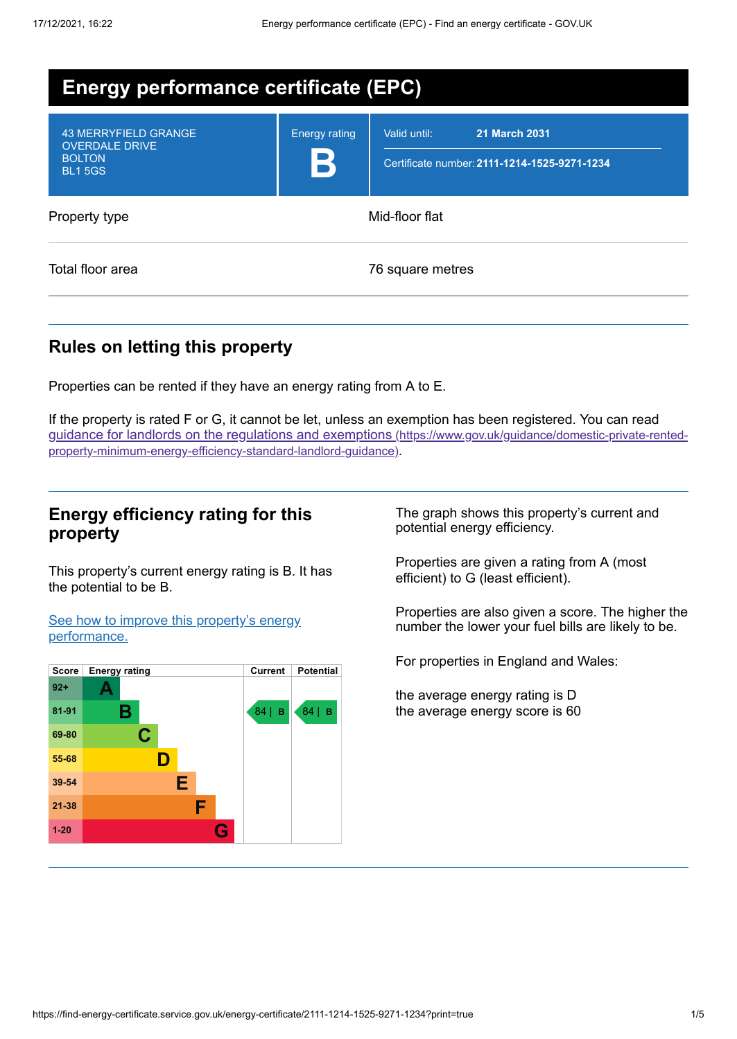| <b>Energy performance certificate (EPC)</b>                                            |                      |                                                                                      |  |  |
|----------------------------------------------------------------------------------------|----------------------|--------------------------------------------------------------------------------------|--|--|
| <b>43 MERRYFIELD GRANGE</b><br><b>OVERDALE DRIVE</b><br><b>BOLTON</b><br><b>BL15GS</b> | <b>Energy rating</b> | Valid until:<br><b>21 March 2031</b><br>Certificate number: 2111-1214-1525-9271-1234 |  |  |
| Property type                                                                          | Mid-floor flat       |                                                                                      |  |  |
| Total floor area                                                                       |                      | 76 square metres                                                                     |  |  |

## **Rules on letting this property**

Properties can be rented if they have an energy rating from A to E.

If the property is rated F or G, it cannot be let, unless an exemption has been registered. You can read guidance for landlords on the regulations and exemptions (https://www.gov.uk/guidance/domestic-private-rented[property-minimum-energy-efficiency-standard-landlord-guidance\)](https://www.gov.uk/guidance/domestic-private-rented-property-minimum-energy-efficiency-standard-landlord-guidance).

## **Energy efficiency rating for this property**

This property's current energy rating is B. It has the potential to be B.

See how to improve this property's energy [performance.](#page-2-0)



The graph shows this property's current and potential energy efficiency.

Properties are given a rating from A (most efficient) to G (least efficient).

Properties are also given a score. The higher the number the lower your fuel bills are likely to be.

For properties in England and Wales:

the average energy rating is D the average energy score is 60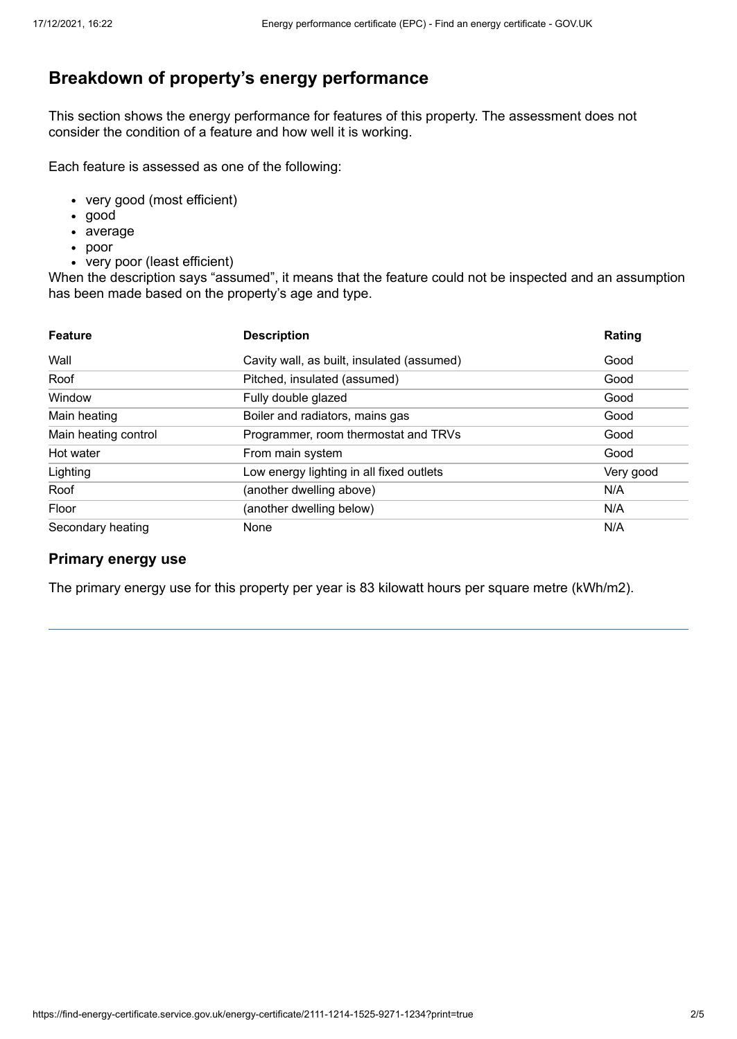# **Breakdown of property's energy performance**

This section shows the energy performance for features of this property. The assessment does not consider the condition of a feature and how well it is working.

Each feature is assessed as one of the following:

- very good (most efficient)
- good
- average
- poor
- very poor (least efficient)

When the description says "assumed", it means that the feature could not be inspected and an assumption has been made based on the property's age and type.

| <b>Feature</b>       | <b>Description</b>                         | Rating    |
|----------------------|--------------------------------------------|-----------|
| Wall                 | Cavity wall, as built, insulated (assumed) | Good      |
| Roof                 | Pitched, insulated (assumed)               | Good      |
| Window               | Fully double glazed                        | Good      |
| Main heating         | Boiler and radiators, mains gas            | Good      |
| Main heating control | Programmer, room thermostat and TRVs       | Good      |
| Hot water            | From main system                           | Good      |
| Lighting             | Low energy lighting in all fixed outlets   | Very good |
| Roof                 | (another dwelling above)                   | N/A       |
| Floor                | (another dwelling below)                   | N/A       |
| Secondary heating    | None                                       | N/A       |

#### **Primary energy use**

The primary energy use for this property per year is 83 kilowatt hours per square metre (kWh/m2).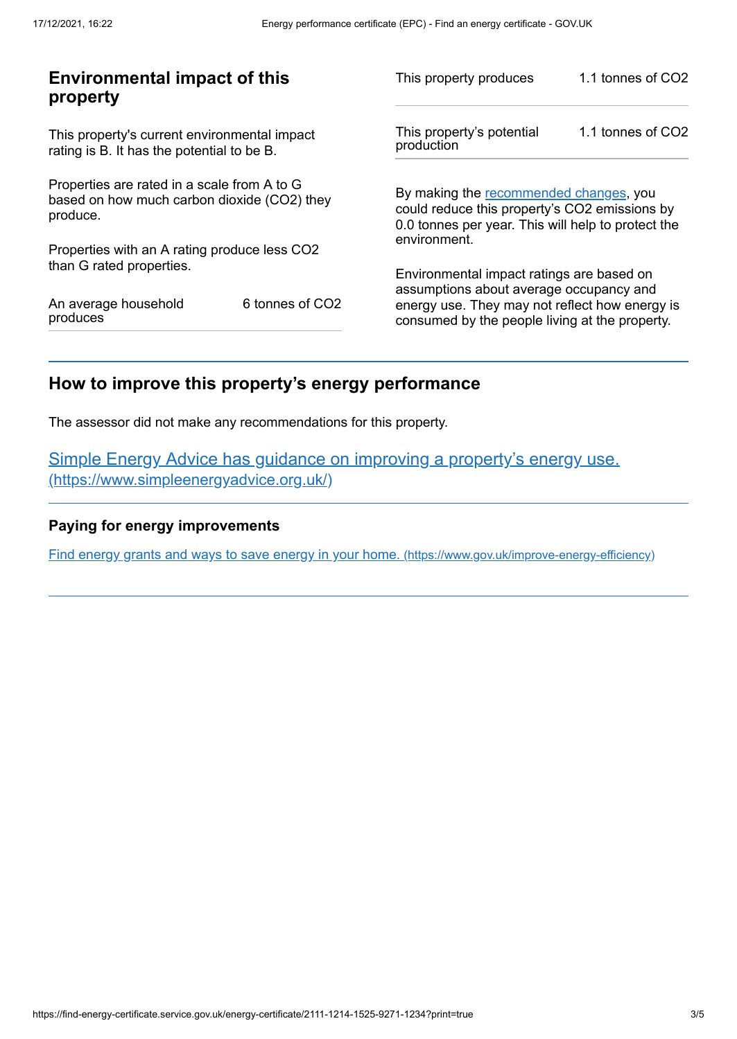| <b>Environmental impact of this</b><br>property                                                        |                 | This property produces                                                                                                                                                                   | 1.1 tonnes of CO2 |
|--------------------------------------------------------------------------------------------------------|-----------------|------------------------------------------------------------------------------------------------------------------------------------------------------------------------------------------|-------------------|
| This property's current environmental impact<br>rating is B. It has the potential to be B.             |                 | This property's potential<br>production                                                                                                                                                  | 1.1 tonnes of CO2 |
| Properties are rated in a scale from A to G<br>based on how much carbon dioxide (CO2) they<br>produce. |                 | By making the recommended changes, you<br>could reduce this property's CO2 emissions by<br>0.0 tonnes per year. This will help to protect the<br>environment.                            |                   |
| Properties with an A rating produce less CO2<br>than G rated properties.                               |                 |                                                                                                                                                                                          |                   |
| An average household<br>produces                                                                       | 6 tonnes of CO2 | Environmental impact ratings are based on<br>assumptions about average occupancy and<br>energy use. They may not reflect how energy is<br>consumed by the people living at the property. |                   |

# <span id="page-2-0"></span>**How to improve this property's energy performance**

The assessor did not make any recommendations for this property.

Simple Energy Advice has guidance on improving a property's energy use. [\(https://www.simpleenergyadvice.org.uk/\)](https://www.simpleenergyadvice.org.uk/)

#### **Paying for energy improvements**

Find energy grants and ways to save energy in your home. [\(https://www.gov.uk/improve-energy-efficiency\)](https://www.gov.uk/improve-energy-efficiency)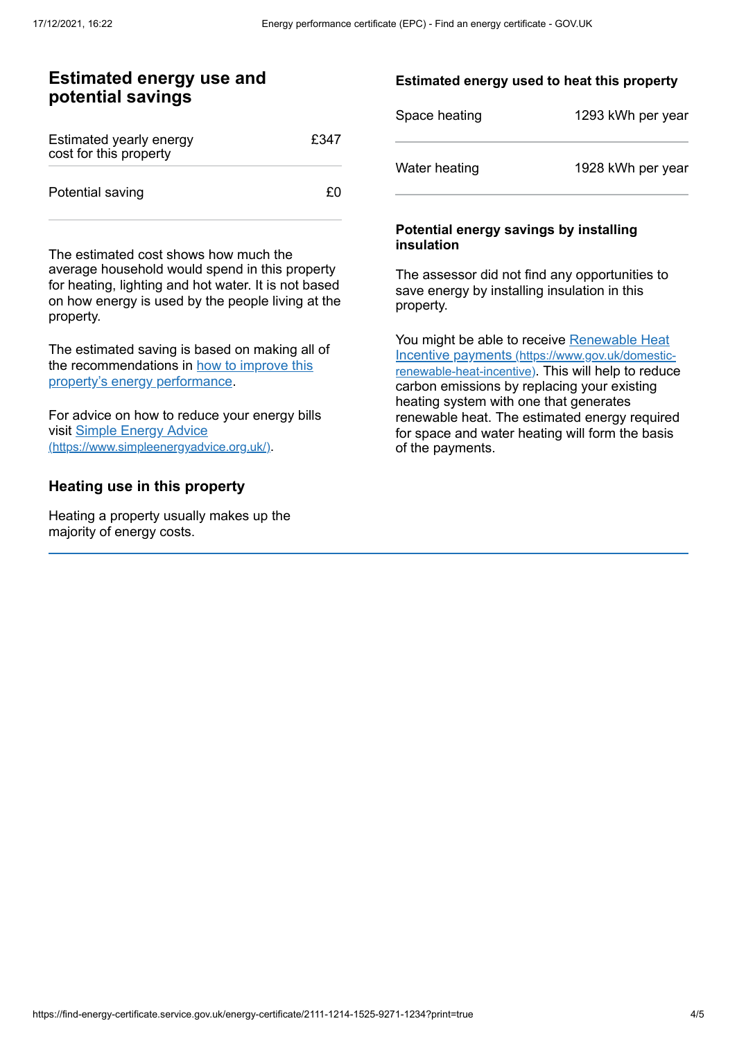### **Estimated energy use and potential savings**

| Estimated yearly energy<br>cost for this property | £347 |
|---------------------------------------------------|------|
| Potential saving                                  | £٥   |

The estimated cost shows how much the average household would spend in this property for heating, lighting and hot water. It is not based on how energy is used by the people living at the property.

The estimated saving is based on making all of the [recommendations](#page-2-0) in how to improve this property's energy performance.

For advice on how to reduce your energy bills visit Simple Energy Advice [\(https://www.simpleenergyadvice.org.uk/\)](https://www.simpleenergyadvice.org.uk/).

### **Heating use in this property**

Heating a property usually makes up the majority of energy costs.

#### **Estimated energy used to heat this property**

| Space heating | 1293 kWh per year |
|---------------|-------------------|
| Water heating | 1928 kWh per year |

#### **Potential energy savings by installing insulation**

The assessor did not find any opportunities to save energy by installing insulation in this property.

You might be able to receive Renewable Heat Incentive payments [\(https://www.gov.uk/domestic](https://www.gov.uk/domestic-renewable-heat-incentive)renewable-heat-incentive). This will help to reduce carbon emissions by replacing your existing heating system with one that generates renewable heat. The estimated energy required for space and water heating will form the basis of the payments.